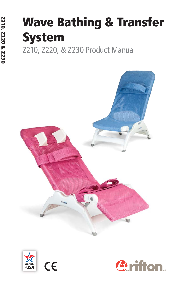# **Wave Bathing & Transfer System**

Z210, Z220, & Z230 Product Manual







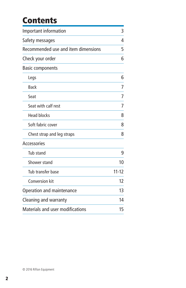# **Contents**

| Important information               |           |
|-------------------------------------|-----------|
| Safety messages                     | 4         |
| Recommended use and item dimensions | 5         |
| Check your order                    | 6         |
| <b>Basic components</b>             |           |
| Legs                                | 6         |
| <b>Back</b>                         | 7         |
| Seat                                | 7         |
| Seat with calf rest                 | 7         |
| <b>Head blocks</b>                  | 8         |
| Soft fabric cover                   | 8         |
| Chest strap and leg straps          | 8         |
| Accessories                         |           |
| Tub stand                           | 9         |
| Shower stand                        | 10        |
| Tub transfer base                   | $11 - 12$ |
| Conversion kit                      | 12        |
| Operation and maintenance           | 13        |
| Cleaning and warranty               | 14        |
| Materials and user modifications    | 15        |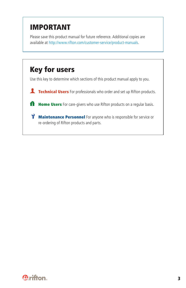# **IMPORTANT**

Please save this product manual for future reference. Additional copies are available at http://www.rifton.com/customer-service/product-manuals.



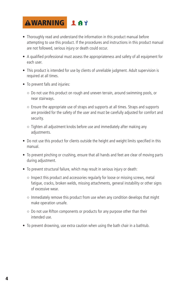

- Thoroughly read and understand the information in this product manual before attempting to use this product. If the procedures and instructions in this product manual are not followed, serious injury or death could occur.
- A qualified professional must assess the appropriateness and safety of all equipment for each user.
- This product is intended for use by clients of unreliable judgment. Adult supervision is required at all times.
- To prevent falls and injuries:
	- Do not use this product on rough and uneven terrain, around swimming pools, or near stairways.
	- Ensure the appropriate use of straps and supports at all times. Straps and supports are provided for the safety of the user and must be carefully adjusted for comfort and security.
	- Tighten all adjustment knobs before use and immediately after making any adjustments.
- Do not use this product for clients outside the height and weight limits specified in this manual.
- To prevent pinching or crushing, ensure that all hands and feet are clear of moving parts during adjustment.
- To prevent structural failure, which may result in serious injury or death:
	- Inspect this product and accessories regularly for loose or missing screws, metal fatigue, cracks, broken welds, missing attachments, general instability or other signs of excessive wear.
	- Immediately remove this product from use when any condition develops that might make operation unsafe.
	- Do not use Rifton components or products for any purpose other than their intended use.
- To prevent drowning, use extra caution when using the bath chair in a bathtub.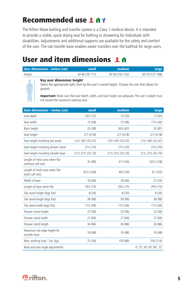# **Recommended use**

The Rifton Wave bathing and transfer system is a Class 1 medical device. It is intended to provide a stable, quick-drying seat for bathing or showering for individuals with disabilities. Adjustments and additional supports are available for the safety and comfort of the user. The tub transfer base enables easier transfers over the bathtub for large users.

# **User and item dimensions**

| User dimensions – inches (cm) | small          | medium          | large           |
|-------------------------------|----------------|-----------------|-----------------|
| Height                        | 30-46 (76-117) | 40-56 (102-142) | 50-74 (127-188) |
|                               | .              |                 |                 |



#### **Key user dimension: height**

Select the appropriate bath chair by the user's overall height. Choose the size that allows for growth.

**Important:** Make sure that seat depth, width, and back height are adequate. The user's weight must not exceed the maximum working load.

| Item dimensions - inches (cm)                        | small               | medium              | large                               |
|------------------------------------------------------|---------------------|---------------------|-------------------------------------|
| Seat depth                                           | 101/2 (27)          | 13(33)              | 17(43)                              |
| Seat width                                           | 15 (38)             | 15 (38)             | 171/2 (44)                          |
| Back height                                          | 23 (58)             | 261/2 (67)          | 32 (81)                             |
| Seat height                                          | 2/7(5/18)           | 2/7(5/18)           | 2/7(5/18)                           |
| Seat height including tub stand                      | 121/2-181/2 (32-47) | 121/2-181/2 (32-47) | 121/2-181/2 (32-47)                 |
| Seat height including shower stand                   | 271/2 (70)          | 271/2 (70)          | 271/2 (70)                          |
| Seat height including transfer base                  | 211/2-271/2 (55-70) | 211/2-271/2 (55-70) | 211/2-271/2 (55-70)                 |
| Length of mesh area when flat<br>(without calf rest) | 35 (89)             | 41 (104)            | 501/2 (128)                         |
| Length of mesh area when flat<br>(with calf rest)    | 421/2 (108)         | 49 (124)            | 61 (155)                            |
| Width of base                                        | 18 (46)             | 18 (46)             | 21(53)                              |
| Length of base when flat                             | 291/2 (75)          | 291/2 (75)          | 291/2 (75)                          |
| Tub stand height (legs flat)                         | 8(20)               | 8(20)               | 8(20)                               |
| Tub stand length (legs flat)                         | 39 (99)             | 39 (99)             | 39 (99)                             |
| Tub stand width (legs flat)                          | 171/2 (44)          | 171/2 (44)          | $17\frac{1}{2}$ (44)                |
| Shower stand height                                  | 22 (56)             | 22 (56)             | 22 (56)                             |
| Shower stand width                                   | 27(69)              | 27 (69)             | 27 (69)                             |
| Shower stand length                                  | 34 (86)             | 34 (86)             | 34 (86)                             |
| Maximum tub edge height for<br>transfer base         | 19 (48)             | 19 (48)             | 19 (48)                             |
| Max. working load - Lbs. (kg)                        | 75 (34)             | 150 (68)            | 250 (114)                           |
| Back and seat angle adjustments                      |                     |                     | $0^\circ$ , 15°, 30°, 45°, 60°, 75° |

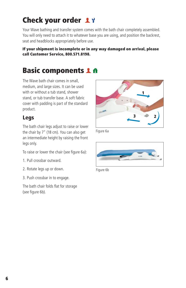# **Check your order**

Your Wave bathing and transfer system comes with the bath chair completely assembled. You will only need to attach it to whatever base you are using, and position the backrest, seat and headblocks appropriately before use.

#### **If your shipment is incomplete or in any way damaged on arrival, please call Customer Service, 800.571.8198.**

# **Basic components**

The Wave bath chair comes in small, medium, and large sizes. It can be used with or without a tub stand, shower stand, or tub transfer base. A soft fabric cover with padding is part of the standard product.

### **Legs**

The bath chair legs adjust to raise or lower the chair by 7" (18 cm). You can also get an intermediate height by raising the front legs only.

To raise or lower the chair (see figure 6a):

- 1. Pull crossbar outward.
- 2. Rotate legs up or down.
- 3. Push crossbar in to engage.

The bath chair folds flat for storage (see figure 6b).



Figure 6a



Figure 6b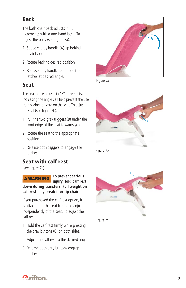### **Back**

The bath chair back adjusts in 15° increments with a one-hand latch. To adjust the back (see figure 7a):

- 1. Squeeze gray handle (A) up behind chair back.
- 2. Rotate back to desired position.
- 3. Release gray handle to engage the latches at desired angle.

### **Seat**

The seat angle adjusts in 15° increments. Increasing the angle can help prevent the user from sliding forward on the seat. To adjust the seat (see figure 7b):

- 1. Pull the two gray triggers (B) under the front edge of the seat towards you.
- 2. Rotate the seat to the appropriate position.
- 3. Release both triggers to engage the latches.

### **Seat with calf rest**

(see figure 7c)

**WARNING To prevent serious injury, fold calf rest down during transfers. Full weight on calf rest may break it or tip chair.**

If you purchased the calf rest option, it is attached to the seat front and adjusts independently of the seat. To adjust the calf rest:

- 1. Hold the calf rest firmly while pressing the gray buttons (C) on both sides.
- 2. Adjust the calf rest to the desired angle.
- 3. Release both gray buttons engage latches.



Figure 7a



Figure 7b



Figure 7c

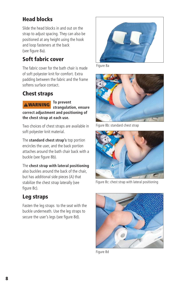### **Head blocks**

Slide the head blocks in and out on the strap to adjust spacing. They can also be positioned at any height using the hook and loop fasteners at the back (see figure 8a).

### **Soft fabric cover**

The fabric cover for the bath chair is made of soft polyester knit for comfort. Extra padding between the fabric and the frame softens surface contact.

### **Chest straps**

**WARNING**

**To prevent** 

**strangulation, ensure correct adjustment and positioning of the chest strap at each use.**

Two choices of chest straps are available in soft polyester knit material.

The **standard chest strap's** top portion encircles the user, and the back portion attaches around the bath chair back with a buckle (see figure 8b).

The **chest strap with lateral positioning**  also buckles around the back of the chair, but has additional side pieces (A) that stabilize the chest strap laterally (see figure 8c).

### **Leg straps**

Fasten the leg straps to the seat with the buckle underneath. Use the leg straps to secure the user's legs (see figure 8d).



Figure 8a



Figure 8b: standard chest strap



Figure 8c: chest strap with lateral positioning



Figure 8d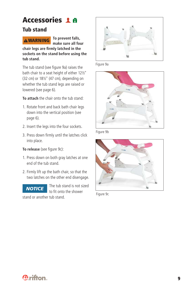### **Accessories**

#### **Tub stand**



**To prevent falls, make sure all four** 

chair legs are firmly latched in the **sockets on the stand before using the tub stand.**

The tub stand (see figure 9a) raises the bath chair to a seat height of either 12½" (32 cm) or 18½" (47 cm), depending on whether the tub stand legs are raised or lowered (see page 6).

**To attach** the chair onto the tub stand:

- 1. Rotate front and back bath chair legs down into the vertical position (see page 6).
- 2. Insert the legs into the four sockets.
- 3. Press down firmly until the latches click into place.

#### **To release** (see figure 9c):

- 1. Press down on both gray latches at one end of the tub stand.
- 2. Firmly lift up the bath chair, so that the two latches on the other end disengage.



The tub stand is not sized to fit onto the shower

stand or another tub stand.



Figure 9a



Figure 9b



Figure 9c

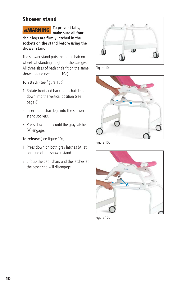### **Shower stand**



**To prevent falls, make sure all four** 

chair legs are firmly latched in the **sockets on the stand before using the shower stand.**

The shower stand puts the bath chair on wheels at standing height for the caregiver. All three sizes of bath chair fit on the same shower stand (see figure 10a).

#### To attach (see figure 10b):

- 1. Rotate front and back bath chair legs down into the vertical position (see page 6).
- 2. Insert bath chair legs into the shower stand sockets.
- 3. Press down firmly until the gray latches (A) engage.

#### **To release** (see figure 10c):

- 1. Press down on both gray latches (A) at one end of the shower stand.
- 2. Lift up the bath chair, and the latches at the other end will disengage.



Figure 10a



Figure 10b



Figure 10c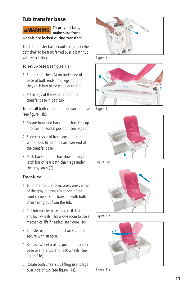### **Tub transfer base**



**To prevent falls, make sure front wheels are locked during transfers.**

The tub transfer base enables clients in the bathchair to be transferred over a bath tub with zero lifting.

**To set up** base (see figure 11a):

- 1. Squeeze latches (A) on underside of base at both ends, fold legs out until they click into place (see figure 11a).
- 2. Place legs of the wider end of the transfer base in bathtub

**To install** bath chair onto tub transfer base (see figure 11b):

- 1. Rotate front and back bath chair legs up into the horizontal position (see page 6).
- 2. Slide crossbar of front legs under the white hook (B) on the narrower end of the transfer base.
- 3. Push back of bath chair down firmly to latch bar of rear bath chair legs under the gray latch (C).

#### **Transfers:**

- 1. To rotate top platform, press press either of the gray buttons (D) at one of the front corners. Start transfers with bath chair facing out from the tub.
- 2. Pull tub transfer base forward if desired and lock wheels. This allows room to use a mechanical lift if needed (see figure 11c).
- 3. Transfer user onto bath chair seat and secure with strap(s).
- 4. Release wheel brakes, push tub transfer base over the tub and lock wheels (see figure 11d).
- 5. Rotate bath chair 90°, lifting user's legs over side of tub (see figure 11e).



Figure 11a



Figure 11b



Figure 11c



Figure 11d



Figure 11e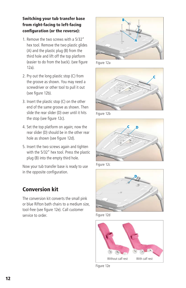#### **Switching your tub transfer base from right-facing to left-facing**  configuration (or the reverse):

- 1. Remove the two screws with a 5/32" hex tool. Remove the two plastic glides (A) and the plastic plug (B) from the third hole and lift off the top platform (easier to do from the back). (see figure 12a).
- 2. Pry out the long plastic stop (C) from the groove as shown. You may need a screwdriver or other tool to pull it out (see figure 12b).
- 3. Insert the plastic stop (C) on the other end of the same groove as shown. Then slide the rear slider (D) over until it hits the stop (see figure 12c).
- 4. Set the top platform on again; now the rear slider (D) should be in the other rear hole as shown (see figure 12d).
- 5. Insert the two screws again and tighten with the 5/32" hex tool. Press the plastic plug (B) into the empty third hole.

Now your tub transfer base is ready to use in the opposite configuration.

### **Conversion kit**

The conversion kit converts the small pink or blue Rifton bath chairs to a medium size, tool-free (see figure 12e). Call customer service to order.



Figure 12a



Figure 12b



Figure 12c



Figure 12d



Figure 12e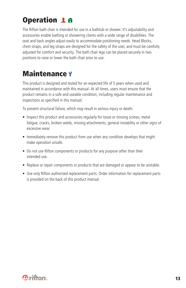# **Operation 1 <del>A</del>**

The Rifton bath chair is intended for use in a bathtub or shower. It's adjustability and accessories enable bathing or showering clients with a wide range of disabilities. The seat and back angles adjust easily to accommodate positioning needs. Head Blocks, chest straps, and leg straps are designed for the safety of the user, and must be carefully adjusted for comfort and security. The bath chair legs can be placed securely in two positions to raise or lower the bath chair prior to use.

# **Maintenance**

This product is designed and tested for an expected life of 5 years when used and maintained in accordance with this manual. At all times, users must ensure that the product remains in a safe and useable condition, including regular maintenance and inspections as specified in this manual.

To prevent structural failure, which may result in serious injury or death:

- Inspect this product and accessories regularly for loose or missing screws, metal fatigue, cracks, broken welds, missing attachments, general instability or other signs of excessive wear.
- Immediately remove this product from use when any condition develops that might make operation unsafe.
- Do not use Rifton components or products for any purpose other than their intended use.
- Replace or repair components or products that are damaged or appear to be unstable.
- Use only Rifton authorized replacement parts. Order information for replacement parts is provided on the back of this product manual.

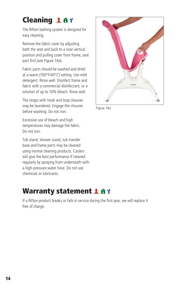# **Cleaning 18Y**

The Rifton bathing system is designed for easy cleaning.

Remove the fabric cover by adjusting both the seat and back to a near vertical position and pulling cover from frame, seat part first (see Figure 14a).

Fabric parts should be washed and dried at a warm (100°F/40°C) setting. Use mild detergent. Rinse well. Disinfect frame and fabric with a commercial disinfectant, or a solution of up to 10% bleach. Rinse well.

The straps with hook and loop closures may be laundered. Engage the closures before washing. Do not iron.

Excessive use of bleach and high temperatures may damage the fabric. Do not iron.

Tub stand, shower stand, tub transfer base and frame parts may be cleaned using normal cleaning products. Casters will give the best performance if cleaned regularly by spraying from underneath with a high-pressure water hose. Do not use chemicals or lubricants.

# **Warranty statement 1 A Y**

If a Rifton product breaks or fails in service during the first year, we will replace it free of charge.



Figure 14a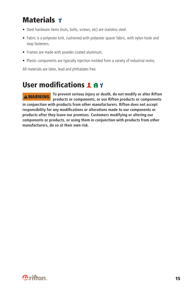# **Materials**

- Steel hardware items (nuts, bolts, screws, etc) are stainless steel.
- Fabric is a polyester knit, cushioned with polyester spacer fabric, with nylon hook and loop fasteners.
- Frames are made with powder-coated aluminum.
- Plastic components are typically injection molded from a variety of industrial resins.

All materials are latex, lead and phthalates free.

# **User modifications 1 4 9**

**To prevent serious injury or death, do not modify or alter Rifton products or components, or use Rifton products or components in conjunction with products from other manufacturers. Rifton does not accept**  responsibility for any modifications or alterations made to our components or **products after they leave our premises. Customers modifying or altering our components or products, or using them in conjunction with products from other manufacturers, do so at their own risk. WARNING**